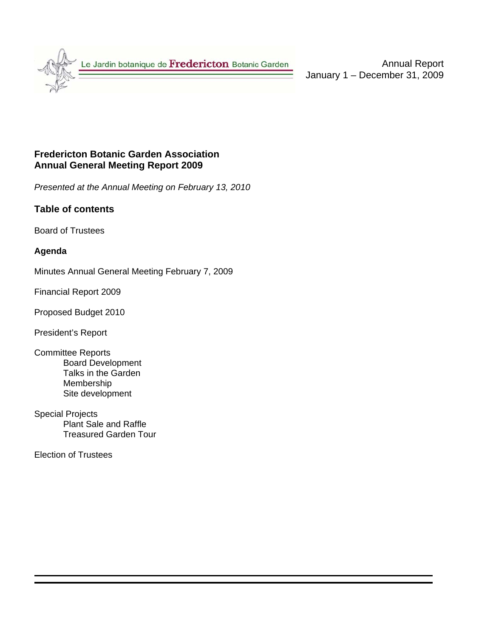

Annual Report January 1 – December 31, 2009

# **Fredericton Botanic Garden Association Annual General Meeting Report 2009**

*Presented at the Annual Meeting on February 13, 2010* 

# **Table of contents**

Board of Trustees

#### **Agenda**

Minutes Annual General Meeting February 7, 2009

Financial Report 2009

Proposed Budget 2010

President's Report

- Committee Reports Board Development Talks in the Garden Membership Site development
- Special Projects Plant Sale and Raffle Treasured Garden Tour

Election of Trustees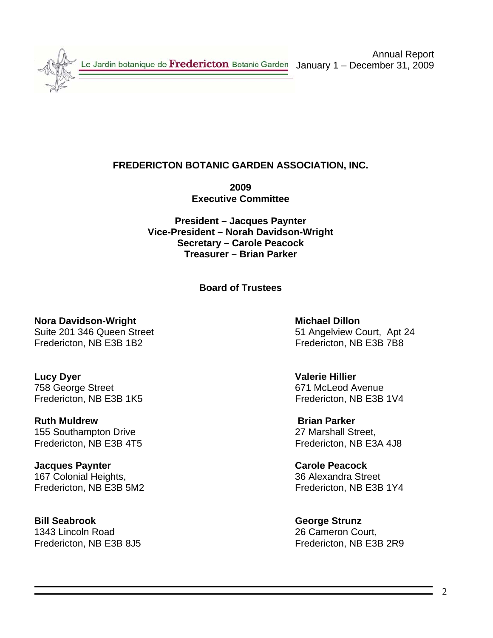Le Jardin botanique de Fredericton Botanic Garden

Annual Report January 1 – December 31, 2009

# **FREDERICTON BOTANIC GARDEN ASSOCIATION, INC.**

**2009 Executive Committee** 

**President – Jacques Paynter Vice-President – Norah Davidson-Wright Secretary – Carole Peacock Treasurer – Brian Parker** 

**Board of Trustees** 

**Nora Davidson-Wright Michael Dillon 2018** Michael Dillon Fredericton, NB E3B 1B2 Fredericton, NB E3B 7B8

**Lucy Dyer Valerie Hillier** 758 George Street 671 McLeod Avenue

**Ruth Muldrew Brian Parker** 155 Southampton Drive 27 Marshall Street,

**Jacques Paynter Carole Peacock** 167 Colonial Heights, 36 Alexandra Street

**Bill Seabrook** George Strunz 1343 Lincoln Road 26 Cameron Court,

Suite 201 346 Queen Street 51 Angelview Court, Apt 24

Fredericton, NB E3B 1K5 Fredericton, NB E3B 1V4

Fredericton, NB E3B 4T5 Fredericton, NB E3A 4J8

Fredericton, NB E3B 5M2 Fredericton, NB E3B 1Y4

Fredericton, NB E3B 8J5 Fredericton, NB E3B 2R9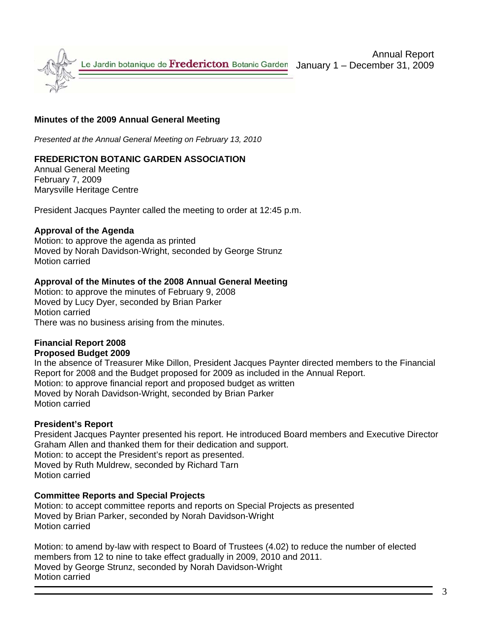

#### **Minutes of the 2009 Annual General Meeting**

*Presented at the Annual General Meeting on February 13, 2010*

#### **FREDERICTON BOTANIC GARDEN ASSOCIATION**

Annual General Meeting February 7, 2009 Marysville Heritage Centre

President Jacques Paynter called the meeting to order at 12:45 p.m.

#### **Approval of the Agenda**

Motion: to approve the agenda as printed Moved by Norah Davidson-Wright, seconded by George Strunz Motion carried

#### **Approval of the Minutes of the 2008 Annual General Meeting**

Motion: to approve the minutes of February 9, 2008 Moved by Lucy Dyer, seconded by Brian Parker Motion carried There was no business arising from the minutes.

#### **Financial Report 2008**

#### **Proposed Budget 2009**

In the absence of Treasurer Mike Dillon, President Jacques Paynter directed members to the Financial Report for 2008 and the Budget proposed for 2009 as included in the Annual Report. Motion: to approve financial report and proposed budget as written Moved by Norah Davidson-Wright, seconded by Brian Parker Motion carried

#### **President's Report**

President Jacques Paynter presented his report. He introduced Board members and Executive Director Graham Allen and thanked them for their dedication and support. Motion: to accept the President's report as presented. Moved by Ruth Muldrew, seconded by Richard Tarn Motion carried

#### **Committee Reports and Special Projects**

Motion: to accept committee reports and reports on Special Projects as presented Moved by Brian Parker, seconded by Norah Davidson-Wright Motion carried

Motion: to amend by-law with respect to Board of Trustees (4.02) to reduce the number of elected members from 12 to nine to take effect gradually in 2009, 2010 and 2011. Moved by George Strunz, seconded by Norah Davidson-Wright Motion carried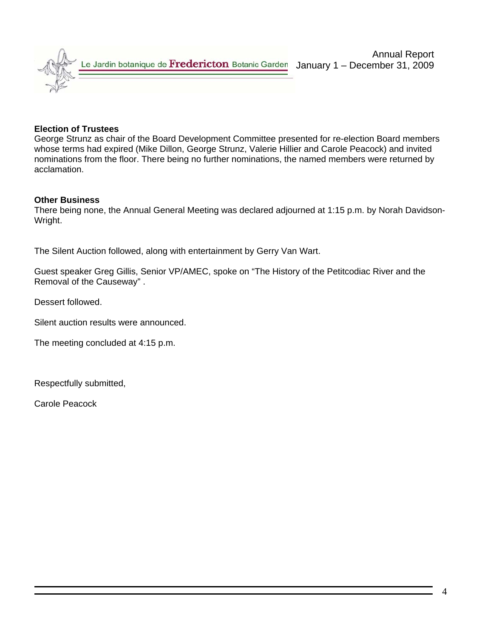

#### **Election of Trustees**

George Strunz as chair of the Board Development Committee presented for re-election Board members whose terms had expired (Mike Dillon, George Strunz, Valerie Hillier and Carole Peacock) and invited nominations from the floor. There being no further nominations, the named members were returned by acclamation.

#### **Other Business**

There being none, the Annual General Meeting was declared adjourned at 1:15 p.m. by Norah Davidson-Wright.

The Silent Auction followed, along with entertainment by Gerry Van Wart.

Guest speaker Greg Gillis, Senior VP/AMEC, spoke on "The History of the Petitcodiac River and the Removal of the Causeway" .

Dessert followed.

Silent auction results were announced.

The meeting concluded at 4:15 p.m.

Respectfully submitted,

Carole Peacock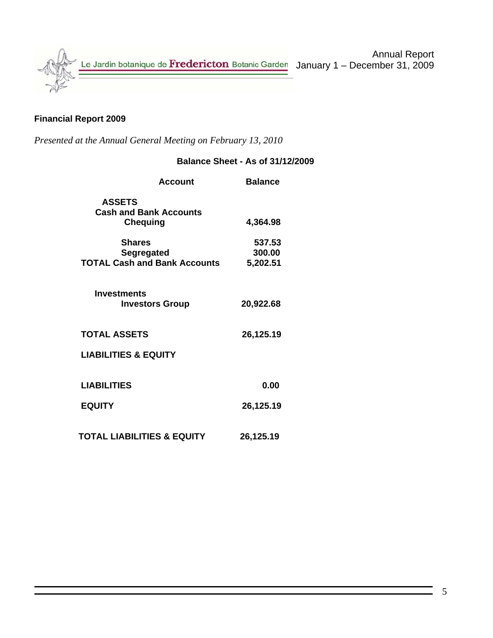

### **Financial Report 2009**

*Presented at the Annual General Meeting on February 13, 2010* 

# **Balance Sheet - As of 31/12/2009**

| <b>Account</b>                                                            | <b>Balance</b>               |
|---------------------------------------------------------------------------|------------------------------|
| <b>ASSETS</b><br><b>Cash and Bank Accounts</b><br><b>Chequing</b>         | 4,364.98                     |
| <b>Shares</b><br><b>Segregated</b><br><b>TOTAL Cash and Bank Accounts</b> | 537.53<br>300.00<br>5,202.51 |
| <b>Investments</b><br><b>Investors Group</b>                              | 20,922.68                    |
| <b>TOTAL ASSETS</b>                                                       | 26,125.19                    |
| <b>LIABILITIES &amp; EQUITY</b>                                           |                              |
| <b>LIABILITIES</b>                                                        | 0.00                         |
| <b>EQUITY</b>                                                             | 26,125.19                    |
| <b>TOTAL LIABILITIES &amp; EQUITY</b>                                     | 26,125.19                    |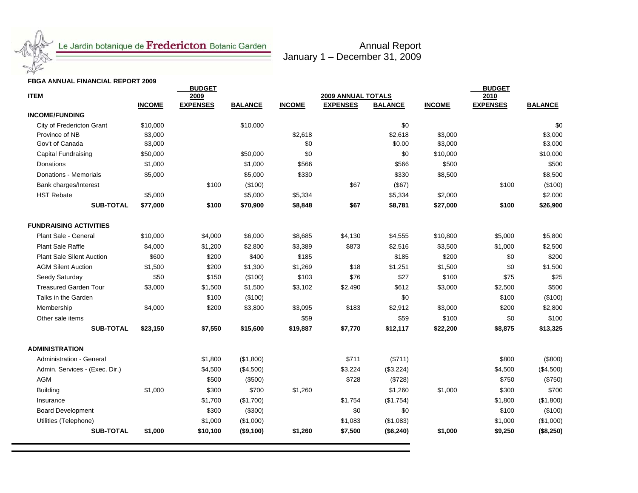

# Le Jardin botanique de Fredericton Botanic Garden

Annual Report January 1 – December 31, 2009

#### **FBGA ANNUAL FINANCIAL REPORT 2009**

| <b>ITEM</b>                      |               | <b>BUDGET</b><br>2009 | 2010           | <b>BUDGET</b> |                                              |                |               |                 |                |
|----------------------------------|---------------|-----------------------|----------------|---------------|----------------------------------------------|----------------|---------------|-----------------|----------------|
|                                  | <b>INCOME</b> | <b>EXPENSES</b>       | <b>BALANCE</b> | <b>INCOME</b> | <b>2009 ANNUAL TOTALS</b><br><b>EXPENSES</b> | <b>BALANCE</b> | <b>INCOME</b> | <b>EXPENSES</b> | <b>BALANCE</b> |
| <b>INCOME/FUNDING</b>            |               |                       |                |               |                                              |                |               |                 |                |
| City of Fredericton Grant        | \$10,000      |                       | \$10,000       |               |                                              | \$0            |               |                 | \$0            |
| Province of NB                   | \$3,000       |                       |                | \$2,618       |                                              | \$2,618        | \$3,000       |                 | \$3,000        |
| Gov't of Canada                  | \$3,000       |                       |                | \$0           |                                              | \$0.00         | \$3,000       |                 | \$3,000        |
| Capital Fundraising              | \$50,000      |                       | \$50,000       | \$0           |                                              | \$0            | \$10,000      |                 | \$10,000       |
| <b>Donations</b>                 | \$1,000       |                       | \$1,000        | \$566         |                                              | \$566          | \$500         |                 | \$500          |
| Donations - Memorials            | \$5,000       |                       | \$5,000        | \$330         |                                              | \$330          | \$8,500       |                 | \$8,500        |
| Bank charges/Interest            |               | \$100                 | (\$100)        |               | \$67                                         | (\$67)         |               | \$100           | (\$100)        |
| <b>HST Rebate</b>                | \$5,000       |                       | \$5,000        | \$5,334       |                                              | \$5,334        | \$2,000       |                 | \$2,000        |
| <b>SUB-TOTAL</b>                 | \$77,000      | \$100                 | \$70,900       | \$8,848       | \$67                                         | \$8,781        | \$27,000      | \$100           | \$26,900       |
| <b>FUNDRAISING ACTIVITIES</b>    |               |                       |                |               |                                              |                |               |                 |                |
| Plant Sale - General             | \$10,000      | \$4,000               | \$6,000        | \$8,685       | \$4,130                                      | \$4,555        | \$10,800      | \$5,000         | \$5,800        |
| <b>Plant Sale Raffle</b>         | \$4,000       | \$1,200               | \$2,800        | \$3,389       | \$873                                        | \$2,516        | \$3,500       | \$1,000         | \$2,500        |
| <b>Plant Sale Silent Auction</b> | \$600         | \$200                 | \$400          | \$185         |                                              | \$185          | \$200         | \$0             | \$200          |
| <b>AGM Silent Auction</b>        | \$1,500       | \$200                 | \$1,300        | \$1,269       | \$18                                         | \$1,251        | \$1,500       | \$0             | \$1,500        |
| Seedy Saturday                   | \$50          | \$150                 | (\$100)        | \$103         | \$76                                         | \$27           | \$100         | \$75            | \$25           |
| <b>Treasured Garden Tour</b>     | \$3,000       | \$1,500               | \$1,500        | \$3,102       | \$2,490                                      | \$612          | \$3,000       | \$2,500         | \$500          |
| Talks in the Garden              |               | \$100                 | (\$100)        |               |                                              | \$0            |               | \$100           | (\$100)        |
| Membership                       | \$4,000       | \$200                 | \$3,800        | \$3,095       | \$183                                        | \$2,912        | \$3,000       | \$200           | \$2,800        |
| Other sale items                 |               |                       |                | \$59          |                                              | \$59           | \$100         | \$0             | \$100          |
| <b>SUB-TOTAL</b>                 | \$23,150      | \$7,550               | \$15,600       | \$19,887      | \$7,770                                      | \$12,117       | \$22,200      | \$8,875         | \$13,325       |
| <b>ADMINISTRATION</b>            |               |                       |                |               |                                              |                |               |                 |                |
| Administration - General         |               | \$1,800               | (\$1,800)      |               | \$711                                        | (\$711)        |               | \$800           | (\$800)        |
| Admin. Services - (Exec. Dir.)   |               | \$4,500               | (\$4,500)      |               | \$3,224                                      | (\$3,224)      |               | \$4,500         | (\$4,500)      |
| <b>AGM</b>                       |               | \$500                 | (\$500)        |               | \$728                                        | (\$728)        |               | \$750           | (\$750)        |
| <b>Building</b>                  | \$1,000       | \$300                 | \$700          | \$1,260       |                                              | \$1,260        | \$1,000       | \$300           | \$700          |
| Insurance                        |               | \$1,700               | (\$1,700)      |               | \$1,754                                      | (\$1,754)      |               | \$1,800         | (\$1,800)      |
| <b>Board Development</b>         |               | \$300                 | (\$300)        |               | \$0                                          | \$0            |               | \$100           | (\$100)        |
| Utilities (Telephone)            |               | \$1,000               | (\$1,000)      |               | \$1,083                                      | (\$1,083)      |               | \$1,000         | (\$1,000)      |
| <b>SUB-TOTAL</b>                 | \$1,000       | \$10,100              | (\$9,100)      | \$1,260       | \$7,500                                      | (\$6,240)      | \$1,000       | \$9,250         | (\$8,250)      |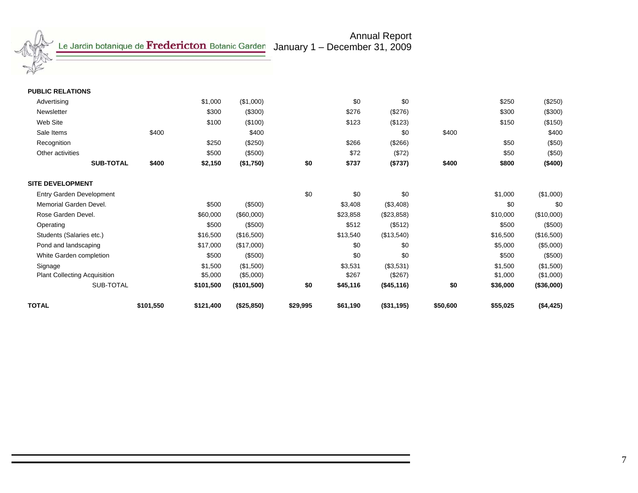

January 1 – December 31, 2009

Annual Report

| <b>PUBLIC RELATIONS</b>             |       |           |             |     |          |            |       |          |            |
|-------------------------------------|-------|-----------|-------------|-----|----------|------------|-------|----------|------------|
| Advertising                         |       | \$1,000   | (\$1,000)   |     | \$0      | \$0        |       | \$250    | $(\$250)$  |
| Newsletter                          |       | \$300     | (\$300)     |     | \$276    | (\$276)    |       | \$300    | (\$300)    |
| Web Site                            |       | \$100     | (\$100)     |     | \$123    | (\$123)    |       | \$150    | (\$150)    |
| Sale Items                          | \$400 |           | \$400       |     |          | \$0        | \$400 |          | \$400      |
| Recognition                         |       | \$250     | (\$250)     |     | \$266    | (\$266)    |       | \$50     | (\$50)     |
| Other activities                    |       | \$500     | (\$500)     |     | \$72     | (\$72)     |       | \$50     | (\$50)     |
| <b>SUB-TOTAL</b>                    | \$400 | \$2,150   | (\$1,750)   | \$0 | \$737    | (\$737)    | \$400 | \$800    | (\$400)    |
| <b>SITE DEVELOPMENT</b>             |       |           |             |     |          |            |       |          |            |
| <b>Entry Garden Development</b>     |       |           |             | \$0 | \$0      | \$0        |       | \$1,000  | (\$1,000)  |
| Memorial Garden Devel.              |       | \$500     | (\$500)     |     | \$3,408  | (\$3,408)  |       | \$0      | \$0        |
| Rose Garden Devel.                  |       | \$60,000  | (\$60,000)  |     | \$23,858 | (\$23,858) |       | \$10,000 | (\$10,000) |
| Operating                           |       | \$500     | (\$500)     |     | \$512    | (\$512)    |       | \$500    | (\$500)    |
| Students (Salaries etc.)            |       | \$16,500  | (\$16,500)  |     | \$13,540 | (\$13,540) |       | \$16,500 | (\$16,500) |
| Pond and landscaping                |       | \$17,000  | (\$17,000)  |     | \$0      | \$0        |       | \$5,000  | (\$5,000)  |
| White Garden completion             |       | \$500     | (\$500)     |     | \$0      | \$0        |       | \$500    | (\$500)    |
| Signage                             |       | \$1,500   | (\$1,500)   |     | \$3,531  | (\$3,531)  |       | \$1,500  | (\$1,500)  |
| <b>Plant Collecting Acquisition</b> |       | \$5,000   | (\$5,000)   |     | \$267    | (\$267)    |       | \$1,000  | (\$1,000)  |
| SUB-TOTAL                           |       | \$101,500 | (\$101,500) | \$0 | \$45,116 | (\$45,116) | \$0   | \$36,000 | (\$36,000) |
|                                     |       |           |             |     |          |            |       |          |            |

**TOTAL \$101,550 \$121,400 (\$25,850) \$29,995 \$61,190 (\$31,195) \$50,600 \$55,025 (\$4,425)**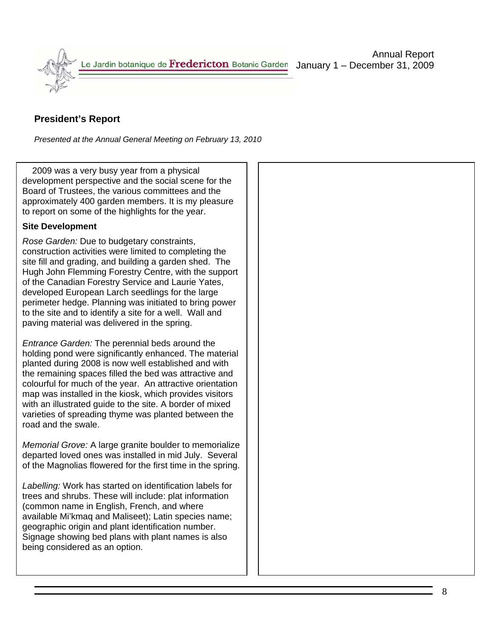

# **President's Report**

*Presented at the Annual General Meeting on February 13, 2010*

 2009 was a very busy year from a physical development perspective and the social scene for the Board of Trustees, the various committees and the approximately 400 garden members. It is my pleasure to report on some of the highlights for the year.

#### **Site Development**

*Rose Garden:* Due to budgetary constraints, construction activities were limited to completing the site fill and grading, and building a garden shed. The Hugh John Flemming Forestry Centre, with the support of the Canadian Forestry Service and Laurie Yates, developed European Larch seedlings for the large perimeter hedge. Planning was initiated to bring power to the site and to identify a site for a well. Wall and paving material was delivered in the spring.

*Entrance Garden:* The perennial beds around the holding pond were significantly enhanced. The material planted during 2008 is now well established and with the remaining spaces filled the bed was attractive and colourful for much of the year. An attractive orientation map was installed in the kiosk, which provides visitors with an illustrated guide to the site. A border of mixed varieties of spreading thyme was planted between the road and the swale.

*Memorial Grove:* A large granite boulder to memorialize departed loved ones was installed in mid July. Several of the Magnolias flowered for the first time in the spring.

*Labelling:* Work has started on identification labels for trees and shrubs. These will include: plat information (common name in English, French, and where available Mi'kmaq and Maliseet); Latin species name; geographic origin and plant identification number. Signage showing bed plans with plant names is also being considered as an option.

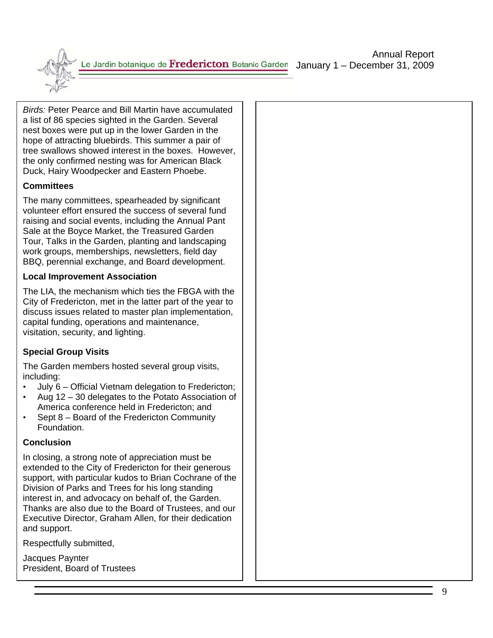Le Jardin botanique de **Fredericton** Botanic Garden January 1 – December 31, 2009

*Birds:* Peter Pearce and Bill Martin have accumulated a list of 86 species sighted in the Garden. Several nest boxes were put up in the lower Garden in the hope of attracting bluebirds. This summer a pair of tree swallows showed interest in the boxes. However, the only confirmed nesting was for American Black Duck, Hairy Woodpecker and Eastern Phoebe.

### **Committees**

The many committees, spearheaded by significant volunteer effort ensured the success of several fund raising and social events, including the Annual Pant Sale at the Boyce Market, the Treasured Garden Tour, Talks in the Garden, planting and landscaping work groups, memberships, newsletters, field day BBQ, perennial exchange, and Board development.

#### **Local Improvement Association**

The LIA, the mechanism which ties the FBGA with the City of Fredericton, met in the latter part of the year to discuss issues related to master plan implementation, capital funding, operations and maintenance, visitation, security, and lighting.

### **Special Group Visits**

The Garden members hosted several group visits, including:

- July 6 Official Vietnam delegation to Fredericton;
- Aug 12 30 delegates to the Potato Association of America conference held in Fredericton; and
- Sept 8 Board of the Fredericton Community Foundation.

### **Conclusion**

In closing, a strong note of appreciation must be extended to the City of Fredericton for their generous support, with particular kudos to Brian Cochrane of the Division of Parks and Trees for his long standing interest in, and advocacy on behalf of, the Garden. Thanks are also due to the Board of Trustees, and our Executive Director, Graham Allen, for their dedication and support.

Respectfully submitted,

Jacques Paynter President, Board of Trustees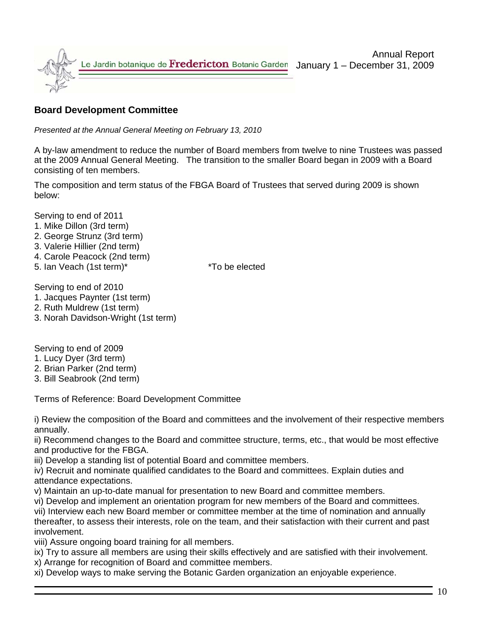

# **Board Development Committee**

*Presented at the Annual General Meeting on February 13, 2010*

A by-law amendment to reduce the number of Board members from twelve to nine Trustees was passed at the 2009 Annual General Meeting. The transition to the smaller Board began in 2009 with a Board consisting of ten members.

The composition and term status of the FBGA Board of Trustees that served during 2009 is shown below:

Serving to end of 2011

- 1. Mike Dillon (3rd term)
- 2. George Strunz (3rd term)
- 3. Valerie Hillier (2nd term)
- 4. Carole Peacock (2nd term)
- 5. Ian Veach (1st term)\* \*To be elected

Serving to end of 2010

- 1. Jacques Paynter (1st term)
- 2. Ruth Muldrew (1st term)
- 3. Norah Davidson-Wright (1st term)

Serving to end of 2009

- 1. Lucy Dyer (3rd term)
- 2. Brian Parker (2nd term)
- 3. Bill Seabrook (2nd term)

Terms of Reference: Board Development Committee

i) Review the composition of the Board and committees and the involvement of their respective members annually.

ii) Recommend changes to the Board and committee structure, terms, etc., that would be most effective and productive for the FBGA.

iii) Develop a standing list of potential Board and committee members.

iv) Recruit and nominate qualified candidates to the Board and committees. Explain duties and attendance expectations.

v) Maintain an up-to-date manual for presentation to new Board and committee members.

vi) Develop and implement an orientation program for new members of the Board and committees.

vii) Interview each new Board member or committee member at the time of nomination and annually thereafter, to assess their interests, role on the team, and their satisfaction with their current and past involvement.

viii) Assure ongoing board training for all members.

ix) Try to assure all members are using their skills effectively and are satisfied with their involvement.

x) Arrange for recognition of Board and committee members.

xi) Develop ways to make serving the Botanic Garden organization an enjoyable experience.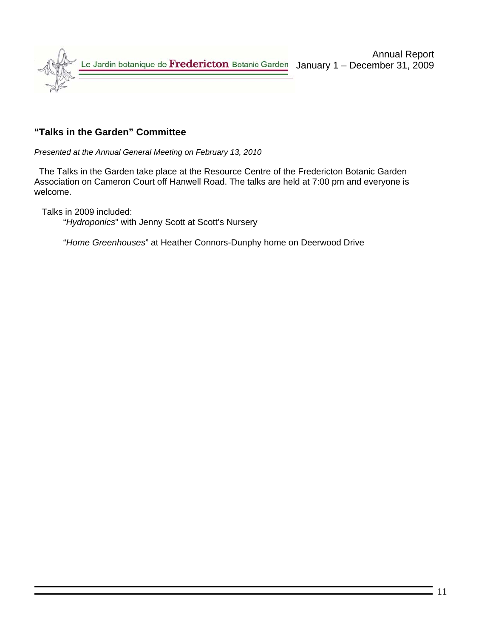

# **"Talks in the Garden" Committee**

*Presented at the Annual General Meeting on February 13, 2010* 

 The Talks in the Garden take place at the Resource Centre of the Fredericton Botanic Garden Association on Cameron Court off Hanwell Road. The talks are held at 7:00 pm and everyone is welcome.

Talks in 2009 included:

"*Hydroponics*" with Jenny Scott at Scott's Nursery

"*Home Greenhouses*" at Heather Connors-Dunphy home on Deerwood Drive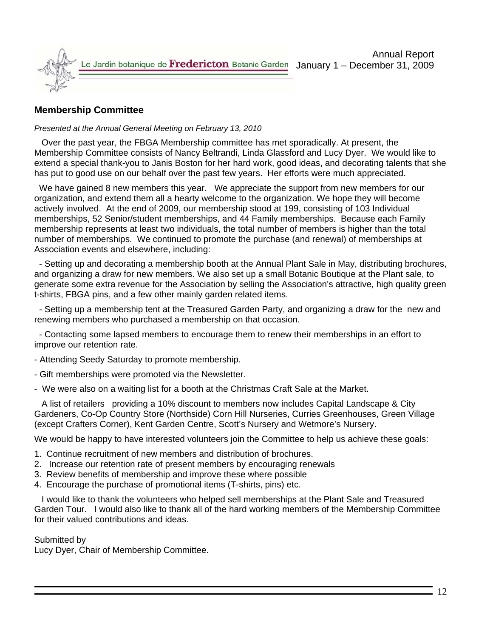

# **Membership Committee**

#### *Presented at the Annual General Meeting on February 13, 2010*

 Over the past year, the FBGA Membership committee has met sporadically. At present, the Membership Committee consists of Nancy Beltrandi, Linda Glassford and Lucy Dyer. We would like to extend a special thank-you to Janis Boston for her hard work, good ideas, and decorating talents that she has put to good use on our behalf over the past few years. Her efforts were much appreciated.

We have gained 8 new members this year. We appreciate the support from new members for our organization, and extend them all a hearty welcome to the organization. We hope they will become actively involved. At the end of 2009, our membership stood at 199, consisting of 103 Individual memberships, 52 Senior/student memberships, and 44 Family memberships. Because each Family membership represents at least two individuals, the total number of members is higher than the total number of memberships. We continued to promote the purchase (and renewal) of memberships at Association events and elsewhere, including:

 - Setting up and decorating a membership booth at the Annual Plant Sale in May, distributing brochures, and organizing a draw for new members. We also set up a small Botanic Boutique at the Plant sale, to generate some extra revenue for the Association by selling the Association's attractive, high quality green t-shirts, FBGA pins, and a few other mainly garden related items.

 - Setting up a membership tent at the Treasured Garden Party, and organizing a draw for the new and renewing members who purchased a membership on that occasion.

 - Contacting some lapsed members to encourage them to renew their memberships in an effort to improve our retention rate.

- Attending Seedy Saturday to promote membership.
- Gift memberships were promoted via the Newsletter.
- We were also on a waiting list for a booth at the Christmas Craft Sale at the Market.

 A list of retailers providing a 10% discount to members now includes Capital Landscape & City Gardeners, Co-Op Country Store (Northside) Corn Hill Nurseries, Curries Greenhouses, Green Village (except Crafters Corner), Kent Garden Centre, Scott's Nursery and Wetmore's Nursery.

We would be happy to have interested volunteers join the Committee to help us achieve these goals:

- 1. Continue recruitment of new members and distribution of brochures.
- 2. Increase our retention rate of present members by encouraging renewals
- 3. Review benefits of membership and improve these where possible
- 4. Encourage the purchase of promotional items (T-shirts, pins) etc.

 I would like to thank the volunteers who helped sell memberships at the Plant Sale and Treasured Garden Tour. I would also like to thank all of the hard working members of the Membership Committee for their valued contributions and ideas.

#### Submitted by

Lucy Dyer, Chair of Membership Committee.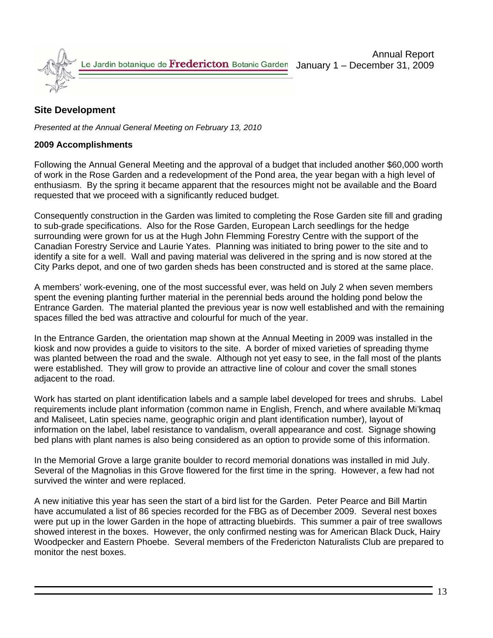

# **Site Development**

*Presented at the Annual General Meeting on February 13, 2010* 

#### **2009 Accomplishments**

Following the Annual General Meeting and the approval of a budget that included another \$60,000 worth of work in the Rose Garden and a redevelopment of the Pond area, the year began with a high level of enthusiasm. By the spring it became apparent that the resources might not be available and the Board requested that we proceed with a significantly reduced budget.

Consequently construction in the Garden was limited to completing the Rose Garden site fill and grading to sub-grade specifications. Also for the Rose Garden, European Larch seedlings for the hedge surrounding were grown for us at the Hugh John Flemming Forestry Centre with the support of the Canadian Forestry Service and Laurie Yates. Planning was initiated to bring power to the site and to identify a site for a well. Wall and paving material was delivered in the spring and is now stored at the City Parks depot, and one of two garden sheds has been constructed and is stored at the same place.

A members' work-evening, one of the most successful ever, was held on July 2 when seven members spent the evening planting further material in the perennial beds around the holding pond below the Entrance Garden. The material planted the previous year is now well established and with the remaining spaces filled the bed was attractive and colourful for much of the year.

In the Entrance Garden, the orientation map shown at the Annual Meeting in 2009 was installed in the kiosk and now provides a guide to visitors to the site. A border of mixed varieties of spreading thyme was planted between the road and the swale. Although not yet easy to see, in the fall most of the plants were established. They will grow to provide an attractive line of colour and cover the small stones adjacent to the road.

Work has started on plant identification labels and a sample label developed for trees and shrubs. Label requirements include plant information (common name in English, French, and where available Mi'kmaq and Maliseet, Latin species name, geographic origin and plant identification number), layout of information on the label, label resistance to vandalism, overall appearance and cost. Signage showing bed plans with plant names is also being considered as an option to provide some of this information.

In the Memorial Grove a large granite boulder to record memorial donations was installed in mid July. Several of the Magnolias in this Grove flowered for the first time in the spring. However, a few had not survived the winter and were replaced.

A new initiative this year has seen the start of a bird list for the Garden. Peter Pearce and Bill Martin have accumulated a list of 86 species recorded for the FBG as of December 2009. Several nest boxes were put up in the lower Garden in the hope of attracting bluebirds. This summer a pair of tree swallows showed interest in the boxes. However, the only confirmed nesting was for American Black Duck, Hairy Woodpecker and Eastern Phoebe. Several members of the Fredericton Naturalists Club are prepared to monitor the nest boxes.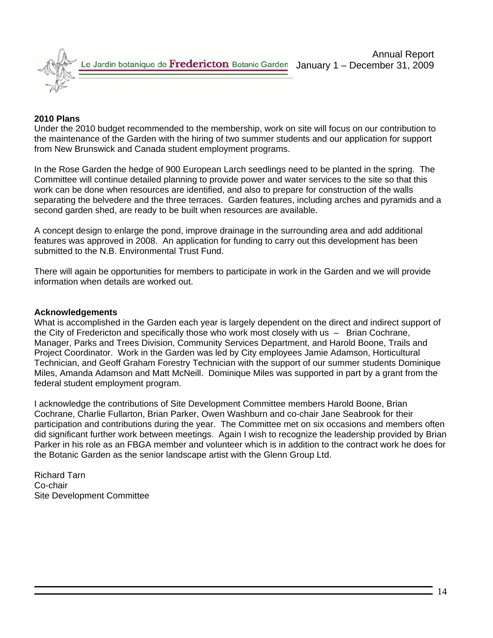

#### **2010 Plans**

Under the 2010 budget recommended to the membership, work on site will focus on our contribution to the maintenance of the Garden with the hiring of two summer students and our application for support from New Brunswick and Canada student employment programs.

In the Rose Garden the hedge of 900 European Larch seedlings need to be planted in the spring. The Committee will continue detailed planning to provide power and water services to the site so that this work can be done when resources are identified, and also to prepare for construction of the walls separating the belvedere and the three terraces. Garden features, including arches and pyramids and a second garden shed, are ready to be built when resources are available.

A concept design to enlarge the pond, improve drainage in the surrounding area and add additional features was approved in 2008. An application for funding to carry out this development has been submitted to the N.B. Environmental Trust Fund.

There will again be opportunities for members to participate in work in the Garden and we will provide information when details are worked out.

#### **Acknowledgements**

What is accomplished in the Garden each year is largely dependent on the direct and indirect support of the City of Fredericton and specifically those who work most closely with us – Brian Cochrane, Manager, Parks and Trees Division, Community Services Department, and Harold Boone, Trails and Project Coordinator. Work in the Garden was led by City employees Jamie Adamson, Horticultural Technician, and Geoff Graham Forestry Technician with the support of our summer students Dominique Miles, Amanda Adamson and Matt McNeill. Dominique Miles was supported in part by a grant from the federal student employment program.

I acknowledge the contributions of Site Development Committee members Harold Boone, Brian Cochrane, Charlie Fullarton, Brian Parker, Owen Washburn and co-chair Jane Seabrook for their participation and contributions during the year. The Committee met on six occasions and members often did significant further work between meetings. Again I wish to recognize the leadership provided by Brian Parker in his role as an FBGA member and volunteer which is in addition to the contract work he does for the Botanic Garden as the senior landscape artist with the Glenn Group Ltd.

Richard Tarn Co-chair Site Development Committee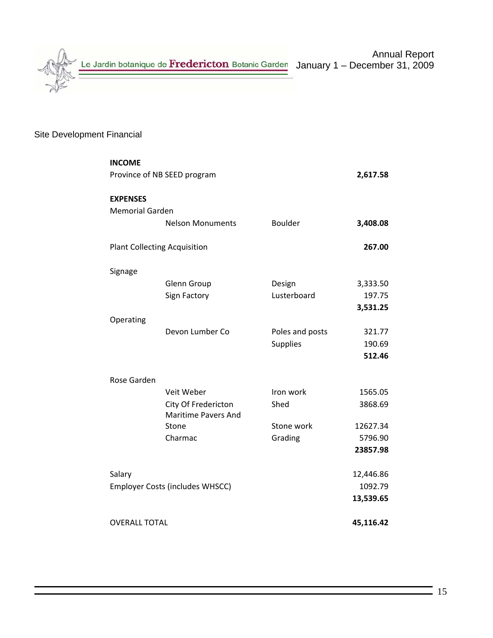

# Site Development Financial

| <b>INCOME</b>                       |                                                   |                 |           |  |  |  |  |  |
|-------------------------------------|---------------------------------------------------|-----------------|-----------|--|--|--|--|--|
| Province of NB SEED program         |                                                   |                 |           |  |  |  |  |  |
| <b>EXPENSES</b>                     |                                                   |                 |           |  |  |  |  |  |
| <b>Memorial Garden</b>              |                                                   |                 |           |  |  |  |  |  |
|                                     | <b>Nelson Monuments</b>                           | <b>Boulder</b>  | 3,408.08  |  |  |  |  |  |
| <b>Plant Collecting Acquisition</b> |                                                   |                 | 267.00    |  |  |  |  |  |
| Signage                             |                                                   |                 |           |  |  |  |  |  |
|                                     | <b>Glenn Group</b>                                | Design          | 3,333.50  |  |  |  |  |  |
|                                     | Sign Factory                                      | Lusterboard     | 197.75    |  |  |  |  |  |
|                                     |                                                   |                 | 3,531.25  |  |  |  |  |  |
| Operating                           |                                                   |                 |           |  |  |  |  |  |
|                                     | Devon Lumber Co                                   | Poles and posts | 321.77    |  |  |  |  |  |
|                                     |                                                   | <b>Supplies</b> | 190.69    |  |  |  |  |  |
|                                     |                                                   |                 | 512.46    |  |  |  |  |  |
|                                     |                                                   |                 |           |  |  |  |  |  |
| Rose Garden                         |                                                   |                 |           |  |  |  |  |  |
|                                     | Veit Weber                                        | Iron work       | 1565.05   |  |  |  |  |  |
|                                     | City Of Fredericton<br><b>Maritime Pavers And</b> | Shed            | 3868.69   |  |  |  |  |  |
|                                     | Stone                                             | Stone work      | 12627.34  |  |  |  |  |  |
|                                     | Charmac                                           | Grading         | 5796.90   |  |  |  |  |  |
|                                     |                                                   |                 | 23857.98  |  |  |  |  |  |
|                                     |                                                   |                 |           |  |  |  |  |  |
| Salary                              |                                                   |                 | 12,446.86 |  |  |  |  |  |
|                                     | <b>Employer Costs (includes WHSCC)</b>            |                 | 1092.79   |  |  |  |  |  |
|                                     |                                                   |                 | 13,539.65 |  |  |  |  |  |
| <b>OVERALL TOTAL</b>                |                                                   |                 | 45,116.42 |  |  |  |  |  |
|                                     |                                                   |                 |           |  |  |  |  |  |
|                                     |                                                   |                 |           |  |  |  |  |  |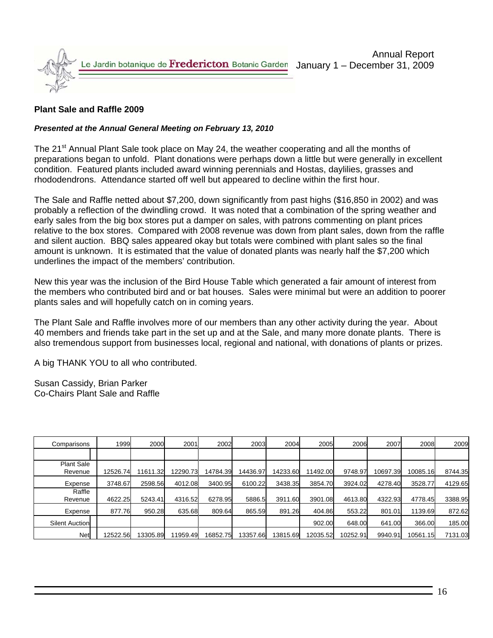

### **Plant Sale and Raffle 2009**

#### *Presented at the Annual General Meeting on February 13, 2010*

The 21<sup>st</sup> Annual Plant Sale took place on May 24, the weather cooperating and all the months of preparations began to unfold. Plant donations were perhaps down a little but were generally in excellent condition. Featured plants included award winning perennials and Hostas, daylilies, grasses and rhododendrons. Attendance started off well but appeared to decline within the first hour.

The Sale and Raffle netted about \$7,200, down significantly from past highs (\$16,850 in 2002) and was probably a reflection of the dwindling crowd. It was noted that a combination of the spring weather and early sales from the big box stores put a damper on sales, with patrons commenting on plant prices relative to the box stores. Compared with 2008 revenue was down from plant sales, down from the raffle and silent auction. BBQ sales appeared okay but totals were combined with plant sales so the final amount is unknown. It is estimated that the value of donated plants was nearly half the \$7,200 which underlines the impact of the members' contribution.

New this year was the inclusion of the Bird House Table which generated a fair amount of interest from the members who contributed bird and or bat houses. Sales were minimal but were an addition to poorer plants sales and will hopefully catch on in coming years.

The Plant Sale and Raffle involves more of our members than any other activity during the year. About 40 members and friends take part in the set up and at the Sale, and many more donate plants. There is also tremendous support from businesses local, regional and national, with donations of plants or prizes.

A big THANK YOU to all who contributed.

Susan Cassidy, Brian Parker Co-Chairs Plant Sale and Raffle

| Comparisons                  | 1999     | 2000     | 2001     | 2002     | 2003     | 2004     | 2005     | 2006     | 2007     | 2008     | 2009    |
|------------------------------|----------|----------|----------|----------|----------|----------|----------|----------|----------|----------|---------|
|                              |          |          |          |          |          |          |          |          |          |          |         |
| <b>Plant Sale</b><br>Revenue | 12526.74 | 11611.32 | 12290.73 | 14784.39 | 14436.97 | 14233.60 | 11492.00 | 9748.97  | 10697.39 | 10085.16 | 8744.35 |
| Expense                      | 3748.67  | 2598.56  | 4012.08  | 3400.95  | 6100.22  | 3438.35  | 3854.70  | 3924.02  | 4278.40  | 3528.77  | 4129.65 |
| Raffle<br>Revenue            | 4622.25  | 5243.41  | 4316.52  | 6278.95  | 5886.5   | 3911.60  | 3901.08  | 4613.80  | 4322.93  | 4778.45  | 3388.95 |
| Expense                      | 877.76   | 950.28   | 635.68   | 809.64   | 865.59   | 891.26   | 404.86   | 553.22   | 801.01   | 1139.69  | 872.62  |
| <b>Silent Auction</b>        |          |          |          |          |          |          | 902.00   | 648.00   | 641.00   | 366.00   | 185.00  |
| Net                          | 2522.56  | 3305.89  | 11959.49 | 16852.75 | 13357.66 | 3815.69  | 12035.52 | 10252.91 | 9940.91  | 10561.15 | 7131.03 |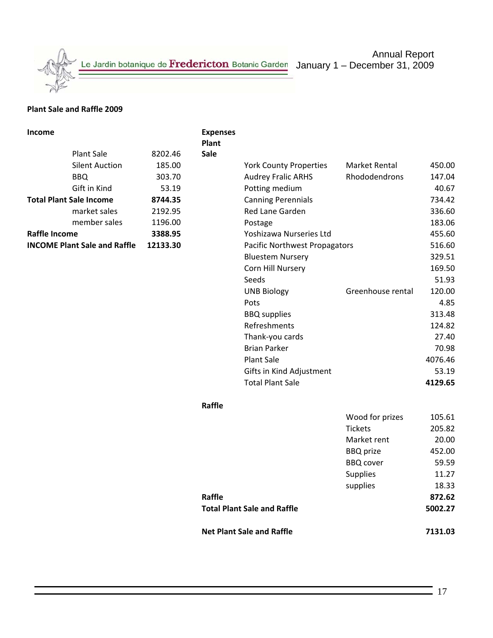Le Jardin botanique de Fredericton Botanic Garden January 1 – December 31, 2009

Annual Report

#### **Plant Sale and Raffle 2009**

| <b>Income</b>                                   |                       |         | <b>Expenses</b><br>Plant |                                    |                   |         |
|-------------------------------------------------|-----------------------|---------|--------------------------|------------------------------------|-------------------|---------|
|                                                 | <b>Plant Sale</b>     | 8202.46 | Sale                     |                                    |                   |         |
|                                                 | <b>Silent Auction</b> | 185.00  |                          | <b>York County Properties</b>      | Market Rental     | 450.00  |
|                                                 | <b>BBQ</b>            | 303.70  |                          | <b>Audrey Fralic ARHS</b>          | Rhododendrons     | 147.04  |
|                                                 | Gift in Kind          | 53.19   |                          | Potting medium                     |                   | 40.67   |
| <b>Total Plant Sale Income</b>                  |                       | 8744.35 |                          | <b>Canning Perennials</b>          |                   | 734.42  |
|                                                 | market sales          | 2192.95 |                          | Red Lane Garden                    |                   | 336.60  |
|                                                 | member sales          | 1196.00 |                          | Postage                            |                   | 183.06  |
| Raffle Income                                   |                       | 3388.95 |                          | Yoshizawa Nurseries Ltd            |                   | 455.60  |
| <b>INCOME Plant Sale and Raffle</b><br>12133.30 |                       |         |                          | Pacific Northwest Propagators      |                   |         |
|                                                 |                       |         |                          | <b>Bluestem Nursery</b>            |                   | 329.51  |
|                                                 |                       |         |                          | Corn Hill Nursery                  |                   | 169.50  |
|                                                 |                       |         |                          | Seeds                              |                   | 51.93   |
|                                                 |                       |         |                          | <b>UNB Biology</b>                 | Greenhouse rental | 120.00  |
|                                                 |                       |         |                          | Pots                               |                   | 4.85    |
|                                                 |                       |         |                          | <b>BBQ</b> supplies                |                   | 313.48  |
|                                                 |                       |         |                          | Refreshments                       |                   | 124.82  |
|                                                 |                       |         |                          | Thank-you cards                    |                   | 27.40   |
|                                                 |                       |         |                          | <b>Brian Parker</b>                |                   | 70.98   |
|                                                 |                       |         |                          | <b>Plant Sale</b>                  |                   | 4076.46 |
|                                                 |                       |         |                          | Gifts in Kind Adjustment           |                   | 53.19   |
|                                                 |                       |         |                          | <b>Total Plant Sale</b>            |                   | 4129.65 |
|                                                 |                       |         | Raffle                   |                                    |                   |         |
|                                                 |                       |         |                          |                                    | Wood for prizes   | 105.61  |
|                                                 |                       |         |                          |                                    | <b>Tickets</b>    | 205.82  |
|                                                 |                       |         |                          |                                    | Market rent       | 20.00   |
|                                                 |                       |         |                          |                                    | <b>BBQ</b> prize  | 452.00  |
|                                                 |                       |         |                          |                                    | <b>BBQ</b> cover  | 59.59   |
|                                                 |                       |         |                          |                                    | <b>Supplies</b>   | 11.27   |
|                                                 |                       |         |                          |                                    | supplies          | 18.33   |
|                                                 |                       |         | Raffle                   |                                    |                   | 872.62  |
|                                                 |                       |         |                          | <b>Total Plant Sale and Raffle</b> |                   | 5002.27 |
|                                                 |                       |         |                          | <b>Net Plant Sale and Raffle</b>   |                   | 7131.03 |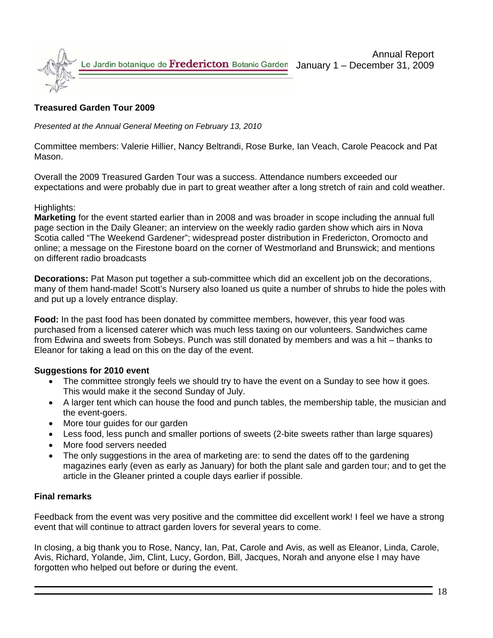

#### **Treasured Garden Tour 2009**

*Presented at the Annual General Meeting on February 13, 2010*

Committee members: Valerie Hillier, Nancy Beltrandi, Rose Burke, Ian Veach, Carole Peacock and Pat Mason.

Overall the 2009 Treasured Garden Tour was a success. Attendance numbers exceeded our expectations and were probably due in part to great weather after a long stretch of rain and cold weather.

#### Highlights:

**Marketing** for the event started earlier than in 2008 and was broader in scope including the annual full page section in the Daily Gleaner; an interview on the weekly radio garden show which airs in Nova Scotia called "The Weekend Gardener"; widespread poster distribution in Fredericton, Oromocto and online; a message on the Firestone board on the corner of Westmorland and Brunswick; and mentions on different radio broadcasts

**Decorations:** Pat Mason put together a sub-committee which did an excellent job on the decorations, many of them hand-made! Scott's Nursery also loaned us quite a number of shrubs to hide the poles with and put up a lovely entrance display.

**Food:** In the past food has been donated by committee members, however, this year food was purchased from a licensed caterer which was much less taxing on our volunteers. Sandwiches came from Edwina and sweets from Sobeys. Punch was still donated by members and was a hit – thanks to Eleanor for taking a lead on this on the day of the event.

#### **Suggestions for 2010 event**

- The committee strongly feels we should try to have the event on a Sunday to see how it goes. This would make it the second Sunday of July.
- A larger tent which can house the food and punch tables, the membership table, the musician and the event-goers.
- More tour guides for our garden
- Less food, less punch and smaller portions of sweets (2-bite sweets rather than large squares)
- More food servers needed
- The only suggestions in the area of marketing are: to send the dates off to the gardening magazines early (even as early as January) for both the plant sale and garden tour; and to get the article in the Gleaner printed a couple days earlier if possible.

#### **Final remarks**

Feedback from the event was very positive and the committee did excellent work! I feel we have a strong event that will continue to attract garden lovers for several years to come.

In closing, a big thank you to Rose, Nancy, Ian, Pat, Carole and Avis, as well as Eleanor, Linda, Carole, Avis, Richard, Yolande, Jim, Clint, Lucy, Gordon, Bill, Jacques, Norah and anyone else I may have forgotten who helped out before or during the event.